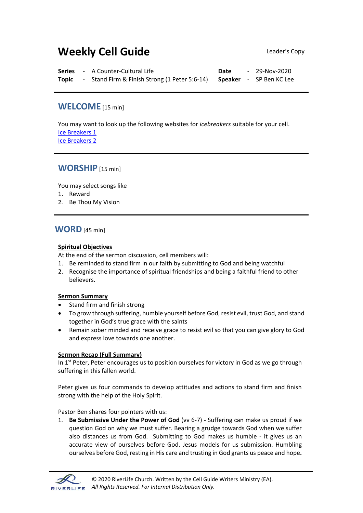# **Weekly Cell Guide Leader's Copy**

|       | <b>Series</b> - A Counter-Cultural Life                               | <b>Date</b> | - 29-Nov-2020 |
|-------|-----------------------------------------------------------------------|-------------|---------------|
| Topic | - Stand Firm & Finish Strong (1 Peter 5:6-14) Speaker - SP Ben KC Lee |             |               |

### **WELCOME** [15 min]

You may want to look up the following websites for *icebreakers* suitable for your cell. [Ice Breakers 1](http://www.thesource4ym.com/games/) [Ice Breakers 2](http://www.christianitytoday.com/smallgroups/articles/icebreakersbeyond.html)

### **WORSHIP** [15 min]

You may select songs like

- 1. Reward
- 2. Be Thou My Vision

### **WORD**[45 min]

#### **Spiritual Objectives**

At the end of the sermon discussion, cell members will:

- 1. Be reminded to stand firm in our faith by submitting to God and being watchful
- 2. Recognise the importance of spiritual friendships and being a faithful friend to other believers.

#### **Sermon Summary**

- Stand firm and finish strong
- To grow through suffering, humble yourself before God, resist evil, trust God, and stand together in God's true grace with the saints
- Remain sober minded and receive grace to resist evil so that you can give glory to God and express love towards one another.

#### **Sermon Recap (Full Summary)**

In 1<sup>st</sup> Peter, Peter encourages us to position ourselves for victory in God as we go through suffering in this fallen world.

Peter gives us four commands to develop attitudes and actions to stand firm and finish strong with the help of the Holy Spirit.

Pastor Ben shares four pointers with us:

1. **Be Submissive Under the Power of God** (vv 6-7) - Suffering can make us proud if we question God on why we must suffer. Bearing a grudge towards God when we suffer also distances us from God. Submitting to God makes us humble - it gives us an accurate view of ourselves before God. Jesus models for us submission. Humbling ourselves before God, resting in His care and trusting in God grants us peace and hope**.** 

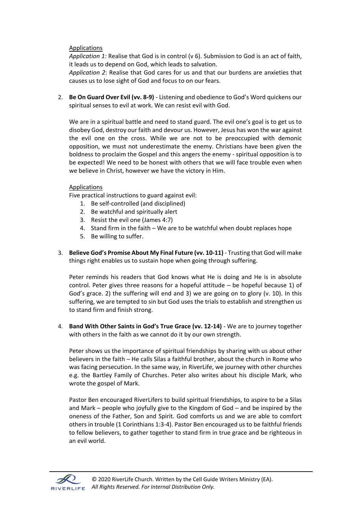#### Applications

*Application 1:* Realise that God is in control (v 6). Submission to God is an act of faith, it leads us to depend on God, which leads to salvation.

*Application 2*: Realise that God cares for us and that our burdens are anxieties that causes us to lose sight of God and focus to on our fears.

2. **Be On Guard Over Evil (vv. 8-9)** - Listening and obedience to God's Word quickens our spiritual senses to evil at work. We can resist evil with God.

We are in a spiritual battle and need to stand guard. The evil one's goal is to get us to disobey God, destroy our faith and devour us. However, Jesus has won the war against the evil one on the cross. While we are not to be preoccupied with demonic opposition, we must not underestimate the enemy. Christians have been given the boldness to proclaim the Gospel and this angers the enemy - spiritual opposition is to be expected! We need to be honest with others that we will face trouble even when we believe in Christ, however we have the victory in Him.

#### Applications

Five practical instructions to guard against evil:

- 1. Be self-controlled (and disciplined)
- 2. Be watchful and spiritually alert
- 3. Resist the evil one (James 4:7)
- 4. Stand firm in the faith We are to be watchful when doubt replaces hope
- 5. Be willing to suffer.
- 3. **Believe God's Promise About My Final Future (vv. 10-11)** Trusting that God will make things right enables us to sustain hope when going through suffering.

Peter reminds his readers that God knows what He is doing and He is in absolute control. Peter gives three reasons for a hopeful attitude – be hopeful because 1) of God's grace. 2) the suffering will end and 3) we are going on to glory (v. 10). In this suffering, we are tempted to sin but God uses the trials to establish and strengthen us to stand firm and finish strong.

4. **Band With Other Saints in God's True Grace (vv. 12-14)** - We are to journey together with others in the faith as we cannot do it by our own strength.

Peter shows us the importance of spiritual friendships by sharing with us about other believers in the faith – He calls Silas a faithful brother, about the church in Rome who was facing persecution. In the same way, in RiverLife, we journey with other churches e.g. the Bartley Family of Churches. Peter also writes about his disciple Mark, who wrote the gospel of Mark.

Pastor Ben encouraged RiverLifers to build spiritual friendships, to aspire to be a Silas and Mark – people who joyfully give to the Kingdom of God – and be inspired by the oneness of the Father, Son and Spirit. God comforts us and we are able to comfort others in trouble (1 Corinthians 1:3-4). Pastor Ben encouraged us to be faithful friends to fellow believers, to gather together to stand firm in true grace and be righteous in an evil world.

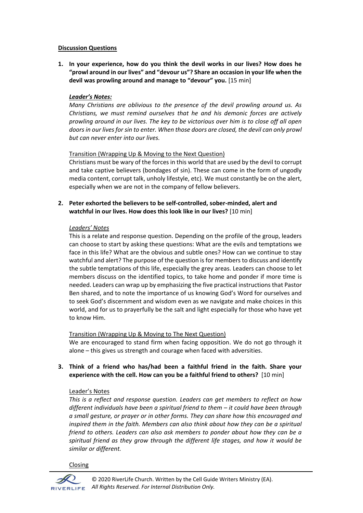#### **Discussion Questions**

**1. In your experience, how do you think the devil works in our lives? How does he "prowl around in our lives" and "devour us"? Share an occasion in your life when the devil was prowling around and manage to "devour" you.** [15 min]

#### *Leader's Notes:*

*Many Christians are oblivious to the presence of the devil prowling around us. As Christians, we must remind ourselves that he and his demonic forces are actively prowling around in our lives. The key to be victorious over him is to close off all open doors in our lives for sin to enter. When those doors are closed, the devil can only prowl but can never enter into our lives.* 

#### Transition (Wrapping Up & Moving to the Next Question)

Christians must be wary of the forces in this world that are used by the devil to corrupt and take captive believers (bondages of sin). These can come in the form of ungodly media content, corrupt talk, unholy lifestyle, etc). We must constantly be on the alert, especially when we are not in the company of fellow believers.

**2. Peter exhorted the believers to be self-controlled, sober-minded, alert and watchful in our lives. How does this look like in our lives?** [10 min]

#### *Leaders' Notes*

This is a relate and response question. Depending on the profile of the group, leaders can choose to start by asking these questions: What are the evils and temptations we face in this life? What are the obvious and subtle ones? How can we continue to stay watchful and alert? The purpose of the question is for members to discuss and identify the subtle temptations of this life, especially the grey areas. Leaders can choose to let members discuss on the identified topics, to take home and ponder if more time is needed. Leaders can wrap up by emphasizing the five practical instructions that Pastor Ben shared, and to note the importance of us knowing God's Word for ourselves and to seek God's discernment and wisdom even as we navigate and make choices in this world, and for us to prayerfully be the salt and light especially for those who have yet to know Him.

#### Transition (Wrapping Up & Moving to The Next Question)

We are encouraged to stand firm when facing opposition. We do not go through it alone – this gives us strength and courage when faced with adversities.

**3. Think of a friend who has/had been a faithful friend in the faith. Share your experience with the cell. How can you be a faithful friend to others?** [10 min]

#### Leader's Notes

*This is a reflect and response question. Leaders can get members to reflect on how different individuals have been a spiritual friend to them – it could have been through a small gesture, or prayer or in other forms. They can share how this encouraged and inspired them in the faith. Members can also think about how they can be a spiritual friend to others. Leaders can also ask members to ponder about how they can be a spiritual friend as they grow through the different life stages, and how it would be similar or different.*

Closing